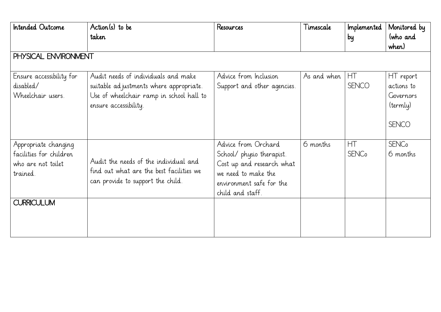| Intended Outcome                                                                  | Action(s) to be<br>taken                                                                                                                             | Resources                                                                                                                                            | Timescale   | Implemented<br>by                     | Monitored by<br>(who and                                         |  |  |  |
|-----------------------------------------------------------------------------------|------------------------------------------------------------------------------------------------------------------------------------------------------|------------------------------------------------------------------------------------------------------------------------------------------------------|-------------|---------------------------------------|------------------------------------------------------------------|--|--|--|
| when)<br>PHYSICAL ENVIRONMENT                                                     |                                                                                                                                                      |                                                                                                                                                      |             |                                       |                                                                  |  |  |  |
| Ensure accessibility for<br>disabled/<br>Wheelchair users.                        | Audit needs of individuals and make<br>suitable ad justments where appropriate.<br>Use of wheelchair ramp in school hall to<br>ensure accessibility. | Advice from Inclusion<br>Support and other agencies.                                                                                                 | As and when | HT<br><b>SENCO</b>                    | HT report<br>actions to<br>Governors<br>(termly)<br><b>SENCO</b> |  |  |  |
| Appropriate changing<br>facilities for children<br>who are not toilet<br>trained. | Audit the needs of the individual and<br>find out what are the best facilities we<br>can provide to support the child.                               | Advice from Orchard<br>School/ physio therapist.<br>Cost up and research what<br>we need to make the<br>environment safe for the<br>child and staff. | 6 months    | <b>HT</b><br><b>SENC</b> <sub>o</sub> | <b>SENC</b> <sub>o</sub><br>6 months                             |  |  |  |
| <b>CURRICULUM</b>                                                                 |                                                                                                                                                      |                                                                                                                                                      |             |                                       |                                                                  |  |  |  |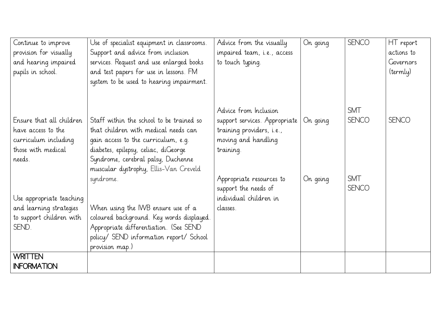| Continue to improve                            | Use of specialist equipment in classrooms.                                       | Advice from the visually                                                            | On going | <b>SENCO</b>               | HT report    |
|------------------------------------------------|----------------------------------------------------------------------------------|-------------------------------------------------------------------------------------|----------|----------------------------|--------------|
| provision for visually                         | Support and advice from inclusion                                                | impaired team, i.e., access                                                         |          |                            | actions to   |
| and hearing impaired                           | services. Request and use enlarged books                                         | to touch typing.                                                                    |          |                            | Governors    |
| pupils in school.                              | and test papers for use in lessons. FM                                           |                                                                                     |          |                            | (termly)     |
|                                                | system to be used to hearing impairment.                                         |                                                                                     |          |                            |              |
| Ensure that all children<br>have access to the | Staff within the school to be trained so<br>that children with medical needs can | Advice from Inclusion<br>support services. Appropriate<br>training providers, i.e., | On going | <b>SMT</b><br><b>SENCO</b> | <b>SENCO</b> |
| curriculum including<br>those with medical     | gain access to the curriculum, e.g.<br>diabetes, epilepsy, celiac, diGeorge      | moving and handling<br>training.                                                    |          |                            |              |
| needs.                                         | Syndrome, cerebral palsy, Duchenne<br>muscular dystrophy, Ellis-Van Creveld      |                                                                                     |          |                            |              |
| Use appropriate teaching                       | syndrome.                                                                        | Appropriate resources to<br>support the needs of<br>individual children in          | On going | <b>SMT</b><br><b>SENCO</b> |              |
| and learning strategies                        | When using the IWB ensure use of a                                               | classes.                                                                            |          |                            |              |
| to support children with                       | coloured background. Key words displayed.                                        |                                                                                     |          |                            |              |
| SEND.                                          | Appropriate differentiation. (See SEND                                           |                                                                                     |          |                            |              |
|                                                | policy/ SEND information report/ School                                          |                                                                                     |          |                            |              |
|                                                | provision map.)                                                                  |                                                                                     |          |                            |              |
| <b>WRITTEN</b><br><b>INFORMATION</b>           |                                                                                  |                                                                                     |          |                            |              |